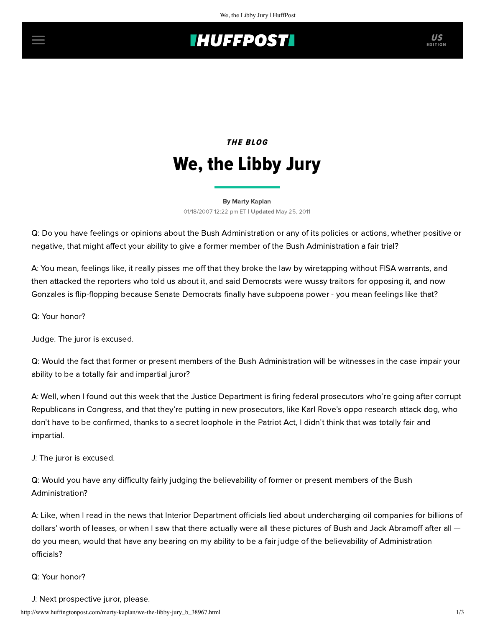# **IHUFFPOSTI** US

# THE BLOG We, the Libby Jury

#### [By Marty Kaplan](http://www.huffingtonpost.com/author/marty-kaplan) 01/18/2007 12:22 pm ET | Updated May 25, 2011

Q: Do you have feelings or opinions about the Bush Administration or any of its policies or actions, whether positive or negative, that might affect your ability to give a former member of the Bush Administration a fair trial?

A: You mean, feelings like, it really pisses me off that they broke the law by wiretapping without FISA warrants, and then attacked the reporters who told us about it, and said Democrats were wussy traitors for opposing it, and now Gonzales is flip-flopping because Senate Democrats finally have subpoena power - you mean feelings like that?

Q: Your honor?

Judge: The juror is excused.

Q: Would the fact that former or present members of the Bush Administration will be witnesses in the case impair your ability to be a totally fair and impartial juror?

A: Well, when I found out this week that the Justice Department is firing federal prosecutors who're going after corrupt Republicans in Congress, and that they're putting in new prosecutors, like Karl Rove's oppo research attack dog, who don't have to be confirmed, thanks to a secret loophole in the Patriot Act, I didn't think that was totally fair and impartial.

J: The juror is excused.

Q: Would you have any difficulty fairly judging the believability of former or present members of the Bush Administration?

A: Like, when I read in the news that Interior Department officials lied about undercharging oil companies for billions of dollars' worth of leases, or when I saw that there actually were all these pictures of Bush and Jack Abramoff after all  $$ do you mean, would that have any bearing on my ability to be a fair judge of the believability of Administration officials?

### Q: Your honor?

J: Next prospective juror, please.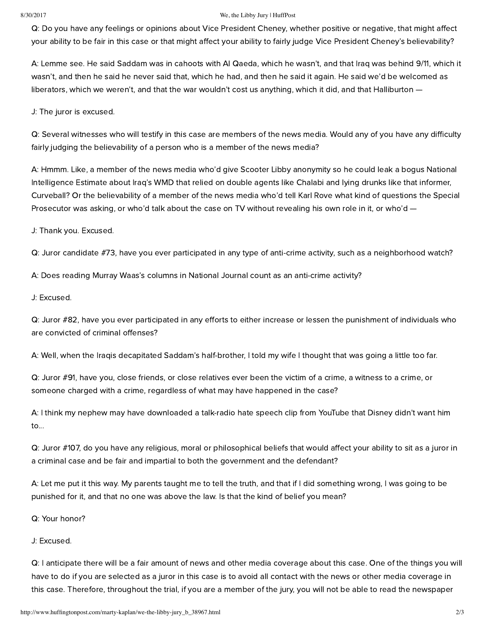#### 8/30/2017 We, the Libby Jury | HuffPost

Q: Do you have any feelings or opinions about Vice President Cheney, whether positive or negative, that might affect your ability to be fair in this case or that might affect your ability to fairly judge Vice President Cheney's believability?

A: Lemme see. He said Saddam was in cahoots with Al Qaeda, which he wasn't, and that Iraq was behind 9/11, which it wasn't, and then he said he never said that, which he had, and then he said it again. He said we'd be welcomed as liberators, which we weren't, and that the war wouldn't cost us anything, which it did, and that Halliburton —

J: The juror is excused.

Q: Several witnesses who will testify in this case are members of the news media. Would any of you have any difficulty fairly judging the believability of a person who is a member of the news media?

A: Hmmm. Like, a member of the news media who'd give Scooter Libby anonymity so he could leak a bogus National Intelligence Estimate about Iraq's WMD that relied on double agents like Chalabi and lying drunks like that informer, Curveball? Or the believability of a member of the news media who'd tell Karl Rove what kind of questions the Special Prosecutor was asking, or who'd talk about the case on TV without revealing his own role in it, or who'd -

J: Thank you. Excused.

Q: Juror candidate #73, have you ever participated in any type of anti-crime activity, such as a neighborhood watch?

A: Does reading Murray Waas's columns in National Journal count as an anti-crime activity?

J: Excused.

Q: Juror #82, have you ever participated in any efforts to either increase or lessen the punishment of individuals who are convicted of criminal offenses?

A: Well, when the Iraqis decapitated Saddam's half-brother, I told my wife I thought that was going a little too far.

Q: Juror #91, have you, close friends, or close relatives ever been the victim of a crime, a witness to a crime, or someone charged with a crime, regardless of what may have happened in the case?

A: I think my nephew may have downloaded a talk-radio hate speech clip from YouTube that Disney didn't want him to...

Q: Juror #107, do you have any religious, moral or philosophical beliefs that would affect your ability to sit as a juror in a criminal case and be fair and impartial to both the government and the defendant?

A: Let me put it this way. My parents taught me to tell the truth, and that if I did something wrong, I was going to be punished for it, and that no one was above the law. Is that the kind of belief you mean?

Q: Your honor?

J: Excused.

Q: I anticipate there will be a fair amount of news and other media coverage about this case. One of the things you will have to do if you are selected as a juror in this case is to avoid all contact with the news or other media coverage in this case. Therefore, throughout the trial, if you are a member of the jury, you will not be able to read the newspaper